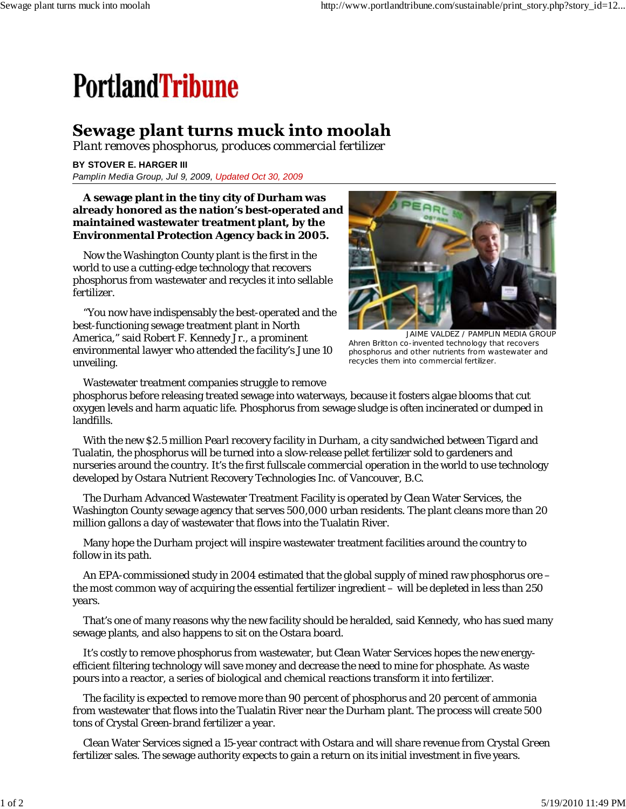## **PortlandTribune**

## Sewage plant turns muck into moolah

*Plant removes phosphorus, produces commercial fertilizer*

**BY STOVER E. HARGER III** *Pamplin Media Group, Jul 9, 2009, Updated Oct 30, 2009*

## **A sewage plant in the tiny city of Durham was already honored as the nation's best-operated and maintained wastewater treatment plant, by the Environmental Protection Agency back in 2005.**

Now the Washington County plant is the first in the world to use a cutting-edge technology that recovers phosphorus from wastewater and recycles it into sellable fertilizer.

"You now have indispensably the best-operated and the best-functioning sewage treatment plant in North America," said Robert F. Kennedy Jr., a prominent environmental lawyer who attended the facility's June 10 unveiling.



JAIME VALDEZ / PAMPLIN MEDIA GROUP Ahren Britton co-invented technology that recovers phosphorus and other nutrients from wastewater and recycles them into commercial fertilizer.

Wastewater treatment companies struggle to remove

phosphorus before releasing treated sewage into waterways, because it fosters algae blooms that cut oxygen levels and harm aquatic life. Phosphorus from sewage sludge is often incinerated or dumped in landfills.

With the new \$2.5 million Pearl recovery facility in Durham, a city sandwiched between Tigard and Tualatin, the phosphorus will be turned into a slow-release pellet fertilizer sold to gardeners and nurseries around the country. It's the first fullscale commercial operation in the world to use technology developed by Ostara Nutrient Recovery Technologies Inc. of Vancouver, B.C.

The Durham Advanced Wastewater Treatment Facility is operated by Clean Water Services, the Washington County sewage agency that serves 500,000 urban residents. The plant cleans more than 20 million gallons a day of wastewater that flows into the Tualatin River.

Many hope the Durham project will inspire wastewater treatment facilities around the country to follow in its path.

An EPA-commissioned study in 2004 estimated that the global supply of mined raw phosphorus ore – the most common way of acquiring the essential fertilizer ingredient – will be depleted in less than 250 years.

That's one of many reasons why the new facility should be heralded, said Kennedy, who has sued many sewage plants, and also happens to sit on the Ostara board.

It's costly to remove phosphorus from wastewater, but Clean Water Services hopes the new energyefficient filtering technology will save money and decrease the need to mine for phosphate. As waste pours into a reactor, a series of biological and chemical reactions transform it into fertilizer.

The facility is expected to remove more than 90 percent of phosphorus and 20 percent of ammonia from wastewater that flows into the Tualatin River near the Durham plant. The process will create 500 tons of Crystal Green-brand fertilizer a year.

Clean Water Services signed a 15-year contract with Ostara and will share revenue from Crystal Green fertilizer sales. The sewage authority expects to gain a return on its initial investment in five years.